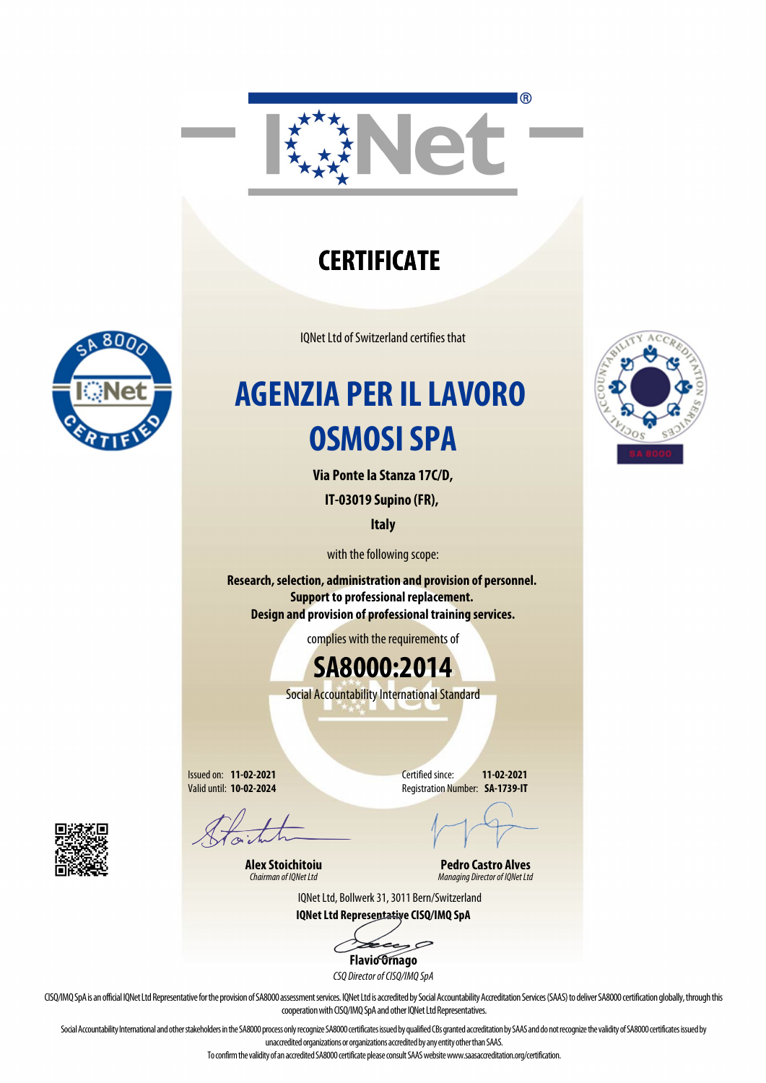

### **CERTIFICATE**

IQNet Ltd of Switzerland certifies that

### **AGENZIA PER IL LAVORO OSMOSI SPA**

**Via Ponte la Stanza 17C/D,**

**IT-03019 Supino (FR),** 

**Italy**

with the following scope:

**Research, selection, administration and provision of personnel. Support to professional replacement. Design and provision of professional training services.**

complies with the requirements of

**SA8000:2014**

Social Accountability International Standard

Issued on: **11-02-2021** Valid until: **10-02-2024**

Certified since: **11-02-2021** Registration Number: **SA-1739-IT**

**Alex Stoichitoiu** *Chairman of IQNet Ltd*

**Pedro Castro Alves** *Managing Director of IQNet Ltd*

IQNet Ltd, Bollwerk 31, 3011 Bern/Switzerland **IQNet Ltd Representative CISQ/IMQ SpA**

 $\mathcal{P}$ **Flavio Ornago**

*CSQ Director of CISQ/IMQ SpA*

CISQ/IMQ SpA is an official IQNet Ltd Representative for the provision of SA8000 assessment services. IQNet Ltd is accredited by Social Accountability Accreditation Services (SAAS) to deliver SA8000 certification globally, cooperation with CISQ/IMQ SpA and other IQNet Ltd Representatives.

Social Accountability International and other stakeholders in the SA8000 process only recognize SA8000 certificates issued by qualified CBs granted accreditation by SAAS and do not recognize the validity of SA8000 certific unaccredited organizations or organizations accredited by any entity other than SAAS.

To confirm the validity of an accredited SA8000 certificate please consult SAAS website www.saasaccreditation.org/certification.

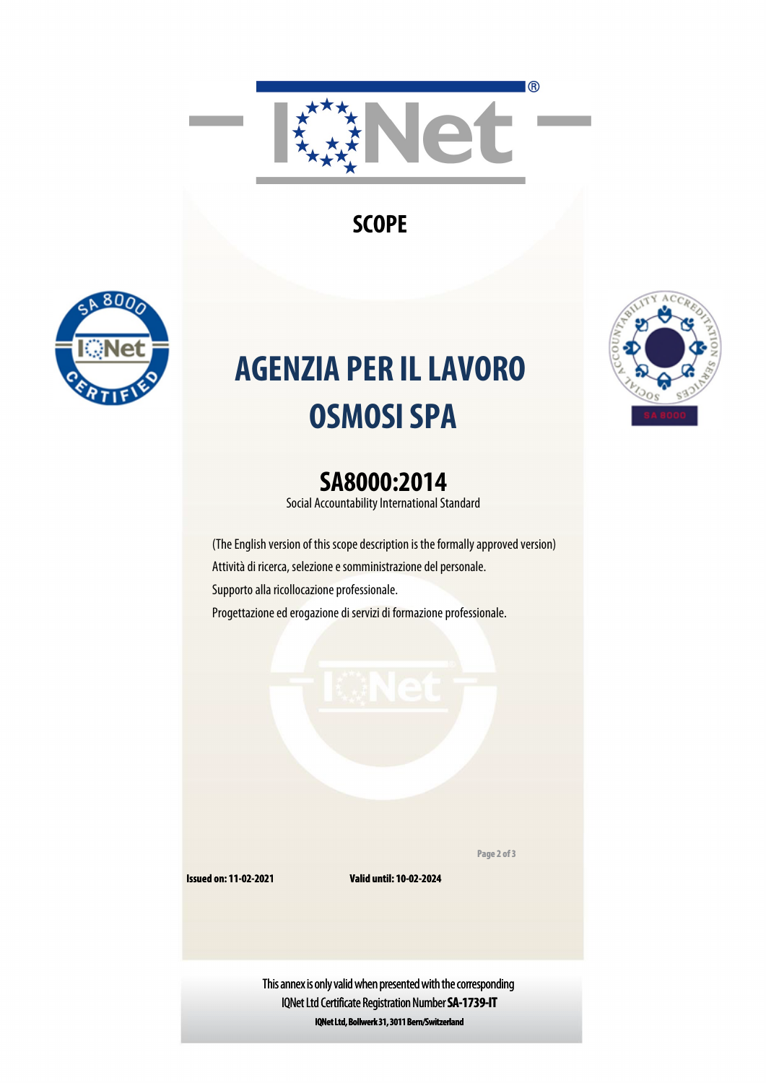

**SCOPE**



# **AGENZIA PER IL LAVORO OSMOSI SPA**

#### **SA8000:2014**

Social Accountability International Standard

(The English version of this scope description is the formally approved version) Attività di ricerca, selezione e somministrazione del personale. Supporto alla ricollocazione professionale. Progettazione ed erogazione di servizi di formazione professionale.

**Page 2 of 3**

**Issued on: 11-02-2021**

**Valid until: 10-02-2024**

This annex is only valid when presented with the corresponding IQNet Ltd Certificate Registration Number **SA-1739-IT IQNet Ltd, Bollwerk 31, 3011 Bern/Switzerland**